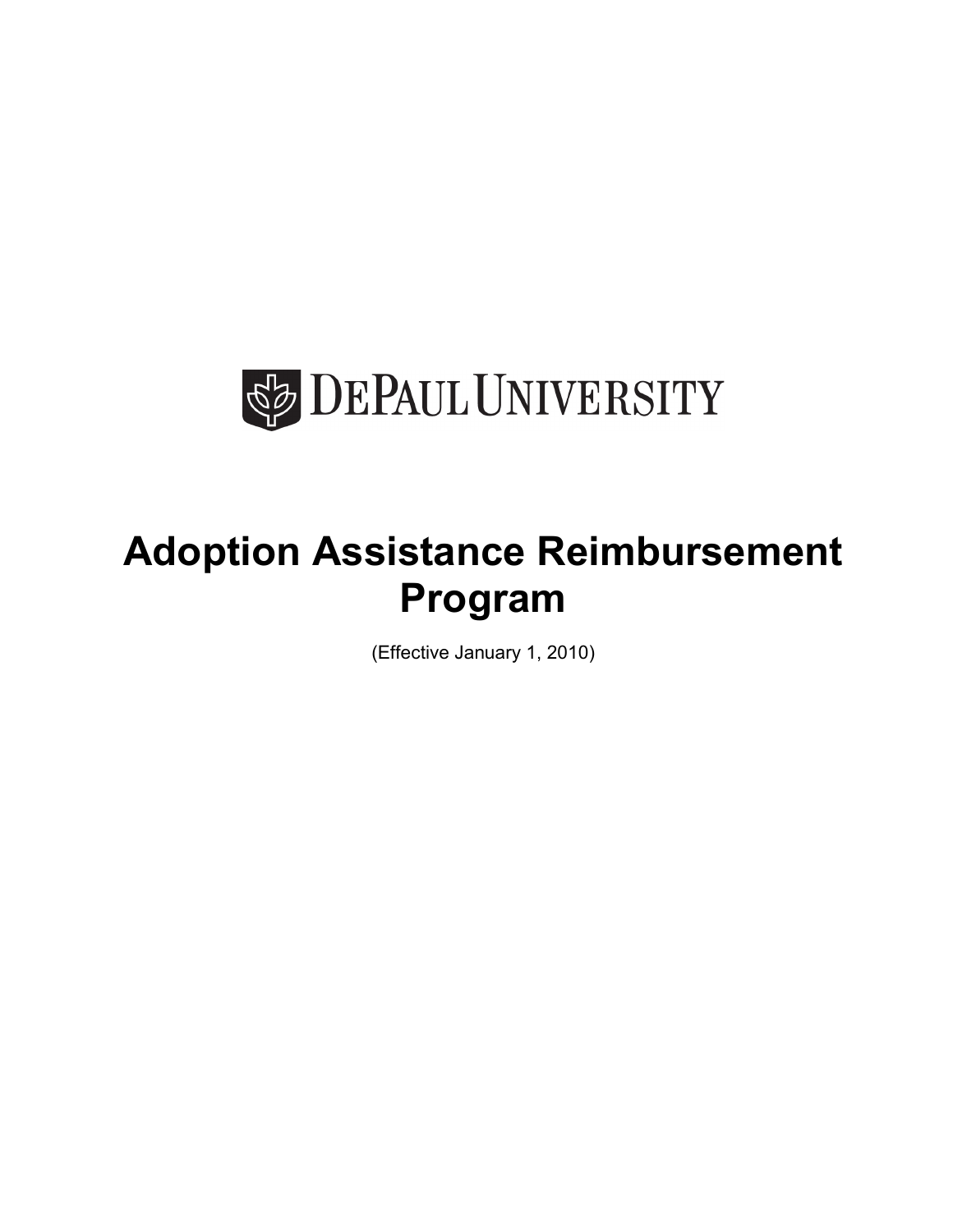

# **Adoption Assistance Reimbursement Program**

(Effective January 1, 2010)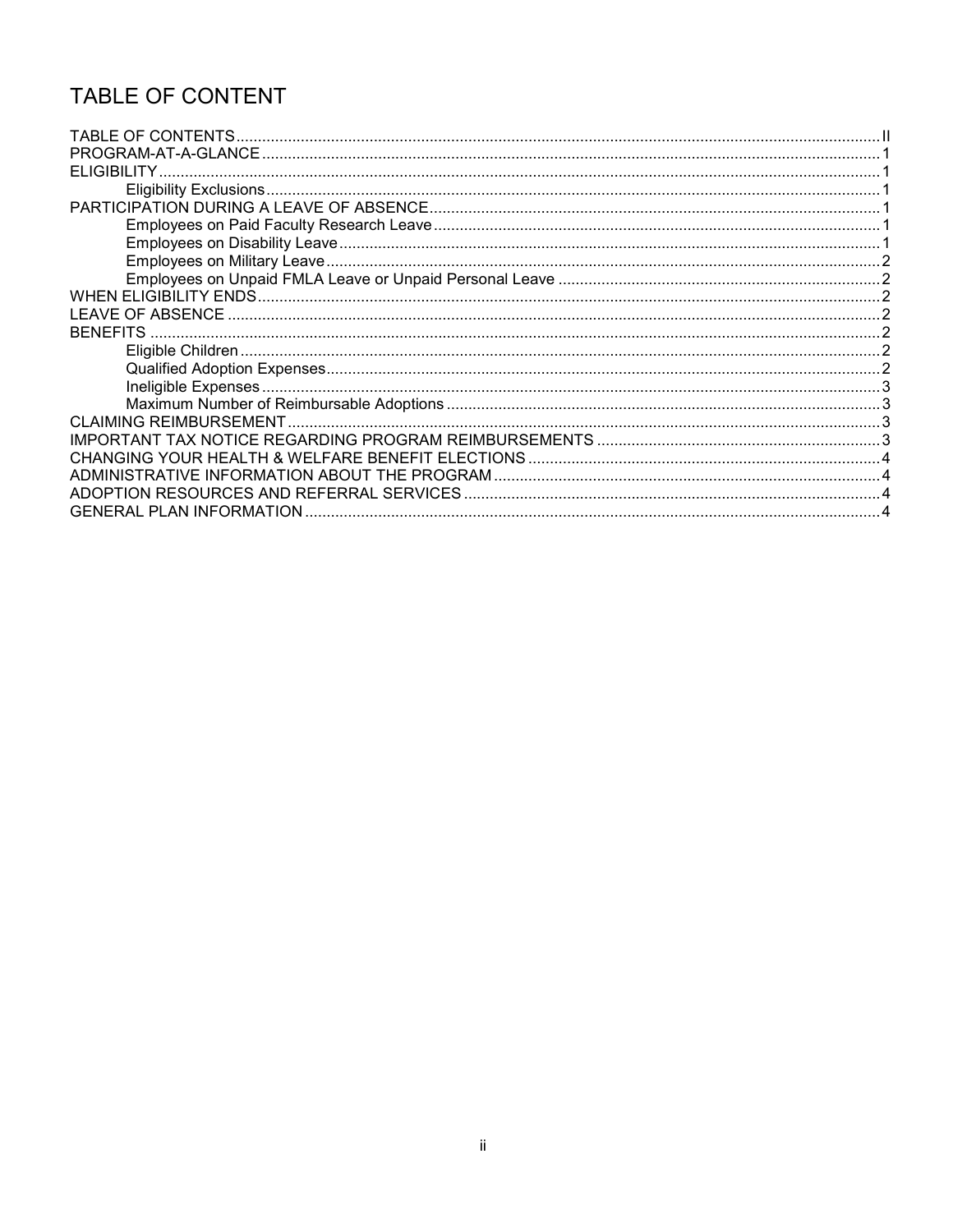# TABLE OF CONTENT

| ELIGIBILITY.    |  |
|-----------------|--|
|                 |  |
|                 |  |
|                 |  |
|                 |  |
|                 |  |
|                 |  |
|                 |  |
|                 |  |
| <b>BENEFITS</b> |  |
|                 |  |
|                 |  |
|                 |  |
|                 |  |
|                 |  |
|                 |  |
|                 |  |
|                 |  |
|                 |  |
|                 |  |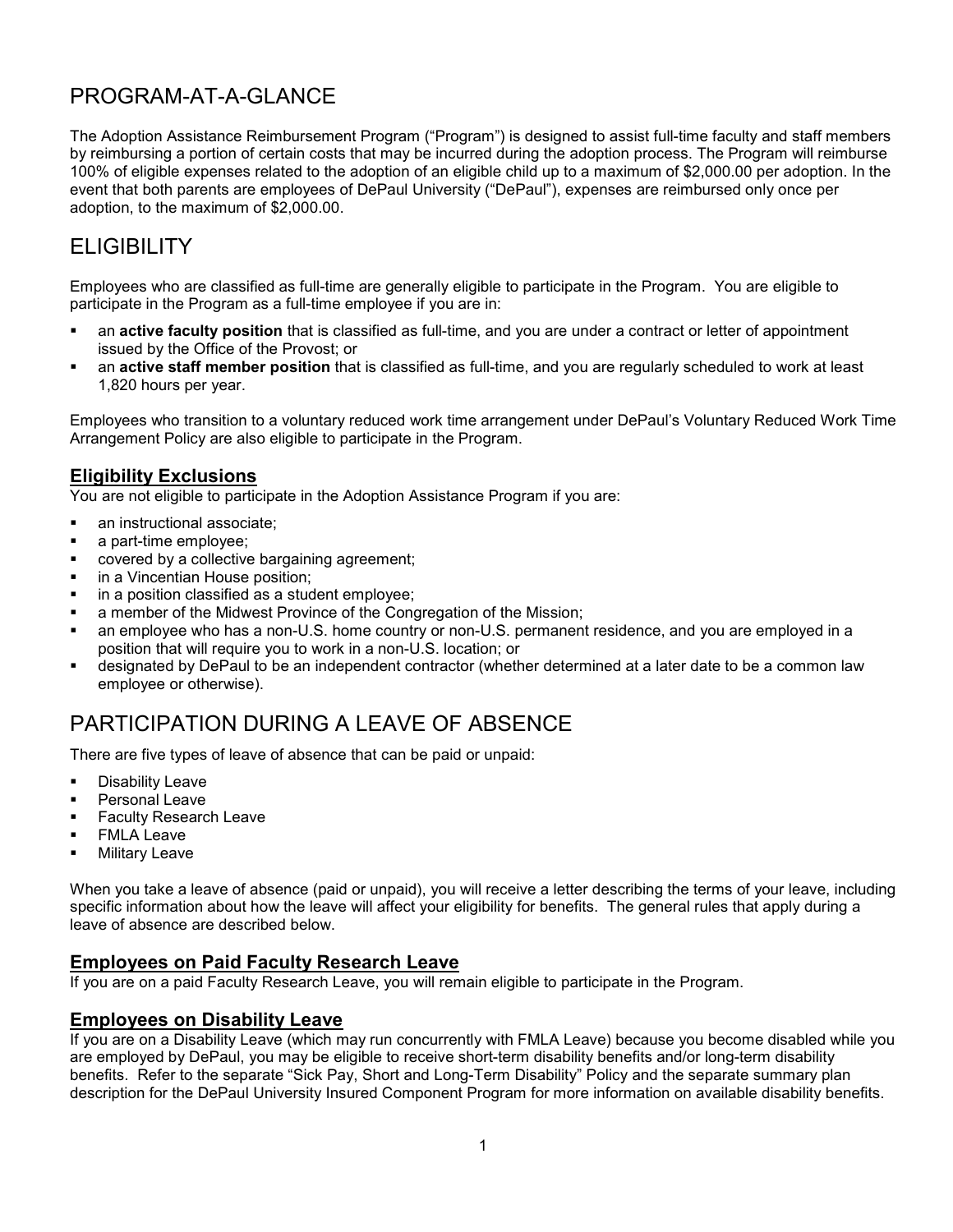# PROGRAM-AT-A-GLANCE

The Adoption Assistance Reimbursement Program ("Program") is designed to assist full-time faculty and staff members by reimbursing a portion of certain costs that may be incurred during the adoption process. The Program will reimburse 100% of eligible expenses related to the adoption of an eligible child up to a maximum of \$2,000.00 per adoption. In the event that both parents are employees of DePaul University ("DePaul"), expenses are reimbursed only once per adoption, to the maximum of \$2,000.00.

# **ELIGIBILITY**

Employees who are classified as full-time are generally eligible to participate in the Program. You are eligible to participate in the Program as a full-time employee if you are in:

- an **active faculty position** that is classified as full-time, and you are under a contract or letter of appointment issued by the Office of the Provost; or
- an **active staff member position** that is classified as full-time, and you are regularly scheduled to work at least 1,820 hours per year.

Employees who transition to a voluntary reduced work time arrangement under DePaul's Voluntary Reduced Work Time Arrangement Policy are also eligible to participate in the Program.

## **Eligibility Exclusions**

You are not eligible to participate in the Adoption Assistance Program if you are:

- **an instructional associate;**
- a part-time employee;
- **EXECOVERED by a collective bargaining agreement:**
- **in a Vincentian House position;**
- **in a position classified as a student employee;**
- **a** member of the Midwest Province of the Congregation of the Mission;
- an employee who has a non-U.S. home country or non-U.S. permanent residence, and you are employed in a position that will require you to work in a non-U.S. location; or
- designated by DePaul to be an independent contractor (whether determined at a later date to be a common law employee or otherwise).

# PARTICIPATION DURING A LEAVE OF ABSENCE

There are five types of leave of absence that can be paid or unpaid:

- **Disability Leave**
- **Personal Leave**
- **Faculty Research Leavelle**
- **FMLA Leave**
- **-** Military Leave

When you take a leave of absence (paid or unpaid), you will receive a letter describing the terms of your leave, including specific information about how the leave will affect your eligibility for benefits. The general rules that apply during a leave of absence are described below.

#### **Employees on Paid Faculty Research Leave**

If you are on a paid Faculty Research Leave, you will remain eligible to participate in the Program.

#### **Employees on Disability Leave**

If you are on a Disability Leave (which may run concurrently with FMLA Leave) because you become disabled while you are employed by DePaul, you may be eligible to receive short-term disability benefits and/or long-term disability benefits. Refer to the separate "Sick Pay, Short and Long-Term Disability" Policy and the separate summary plan description for the DePaul University Insured Component Program for more information on available disability benefits.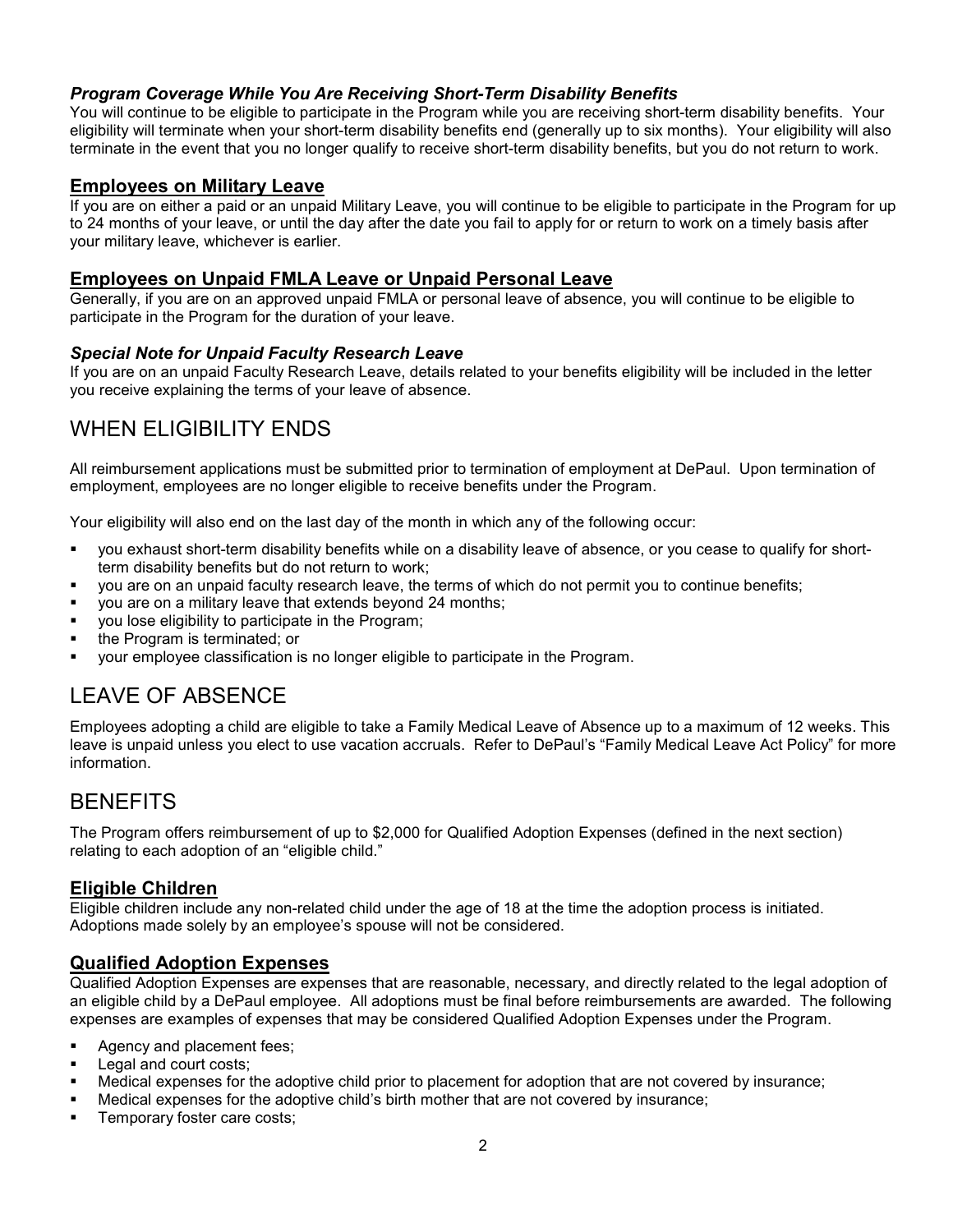## *Program Coverage While You Are Receiving Short-Term Disability Benefits*

You will continue to be eligible to participate in the Program while you are receiving short-term disability benefits. Your eligibility will terminate when your short-term disability benefits end (generally up to six months). Your eligibility will also terminate in the event that you no longer qualify to receive short-term disability benefits, but you do not return to work.

#### **Employees on Military Leave**

If you are on either a paid or an unpaid Military Leave, you will continue to be eligible to participate in the Program for up to 24 months of your leave, or until the day after the date you fail to apply for or return to work on a timely basis after your military leave, whichever is earlier.

#### **Employees on Unpaid FMLA Leave or Unpaid Personal Leave**

Generally, if you are on an approved unpaid FMLA or personal leave of absence, you will continue to be eligible to participate in the Program for the duration of your leave.

#### *Special Note for Unpaid Faculty Research Leave*

If you are on an unpaid Faculty Research Leave, details related to your benefits eligibility will be included in the letter you receive explaining the terms of your leave of absence.

## WHEN ELIGIBILITY ENDS

All reimbursement applications must be submitted prior to termination of employment at DePaul. Upon termination of employment, employees are no longer eligible to receive benefits under the Program.

Your eligibility will also end on the last day of the month in which any of the following occur:

- you exhaust short-term disability benefits while on a disability leave of absence, or you cease to qualify for shortterm disability benefits but do not return to work;
- you are on an unpaid faculty research leave, the terms of which do not permit you to continue benefits;
- you are on a military leave that extends beyond 24 months;
- you lose eligibility to participate in the Program;
- the Program is terminated; or
- your employee classification is no longer eligible to participate in the Program.

## LEAVE OF ABSENCE

Employees adopting a child are eligible to take a Family Medical Leave of Absence up to a maximum of 12 weeks. This leave is unpaid unless you elect to use vacation accruals. Refer to DePaul's "Family Medical Leave Act Policy" for more information.

## BENEFITS

The Program offers reimbursement of up to \$2,000 for Qualified Adoption Expenses (defined in the next section) relating to each adoption of an "eligible child."

#### **Eligible Children**

Eligible children include any non-related child under the age of 18 at the time the adoption process is initiated. Adoptions made solely by an employee's spouse will not be considered.

#### **Qualified Adoption Expenses**

Qualified Adoption Expenses are expenses that are reasonable, necessary, and directly related to the legal adoption of an eligible child by a DePaul employee. All adoptions must be final before reimbursements are awarded. The following expenses are examples of expenses that may be considered Qualified Adoption Expenses under the Program.

- Agency and placement fees;
- Legal and court costs;
- Medical expenses for the adoptive child prior to placement for adoption that are not covered by insurance;
- Medical expenses for the adoptive child's birth mother that are not covered by insurance;
- **Temporary foster care costs;**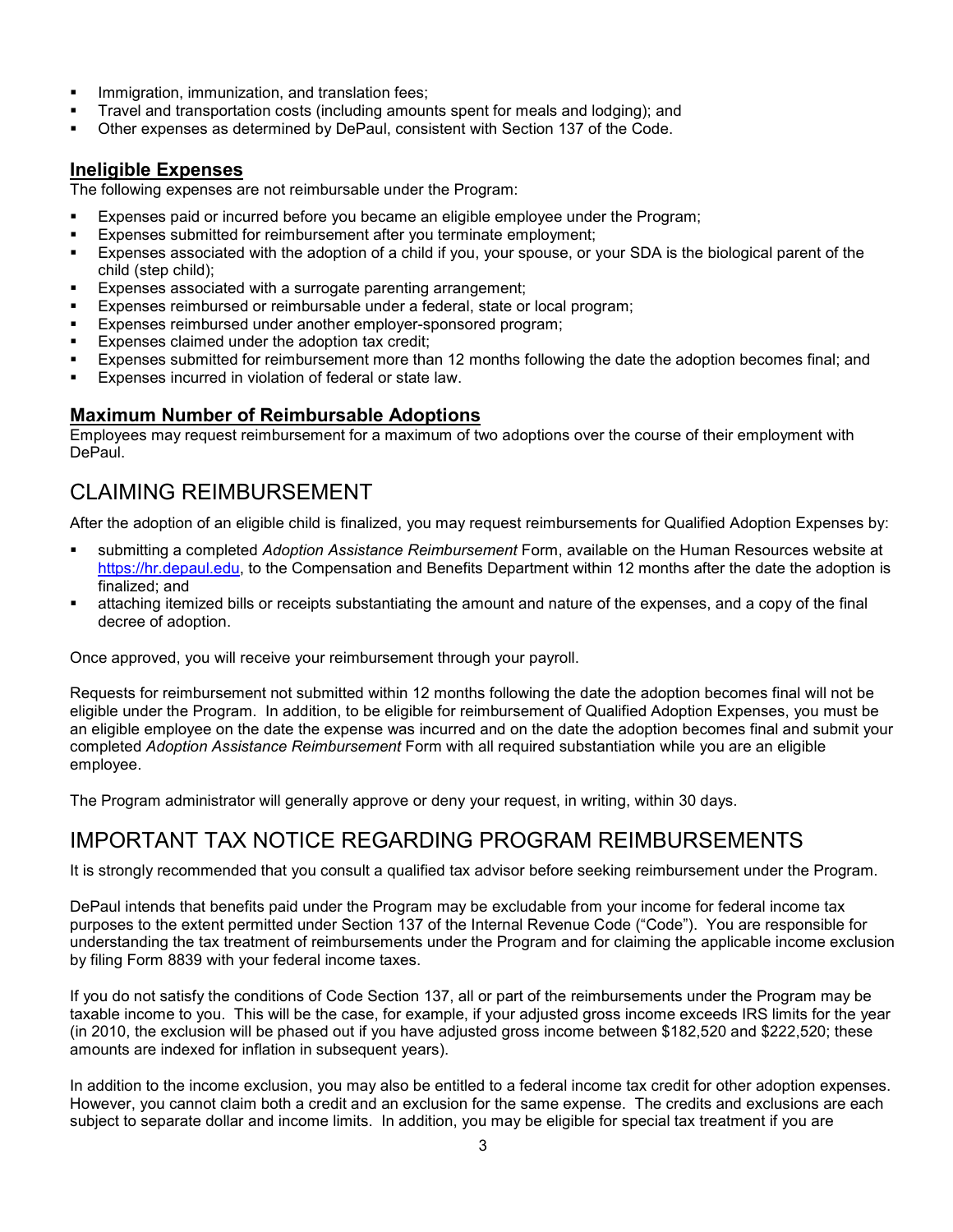- **Immigration, immunization, and translation fees;**
- Travel and transportation costs (including amounts spent for meals and lodging); and
- Other expenses as determined by DePaul, consistent with Section 137 of the Code.

#### **Ineligible Expenses**

The following expenses are not reimbursable under the Program:

- Expenses paid or incurred before you became an eligible employee under the Program;
- **Expenses submitted for reimbursement after you terminate employment;**
- Expenses associated with the adoption of a child if you, your spouse, or your SDA is the biological parent of the child (step child);
- **Expenses associated with a surrogate parenting arrangement;**
- Expenses reimbursed or reimbursable under a federal, state or local program;
- **Expenses reimbursed under another employer-sponsored program;**
- **Expenses claimed under the adoption tax credit;**
- Expenses submitted for reimbursement more than 12 months following the date the adoption becomes final; and
- Expenses incurred in violation of federal or state law.

## **Maximum Number of Reimbursable Adoptions**

Employees may request reimbursement for a maximum of two adoptions over the course of their employment with DePaul.

## CLAIMING REIMBURSEMENT

After the adoption of an eligible child is finalized, you may request reimbursements for Qualified Adoption Expenses by:

- submitting a completed *Adoption Assistance Reimbursement* Form, available on the Human Resources website at https://hr.depaul.edu, to the Compensation and Benefits Department within 12 months after the date the adoption is finalized; and
- attaching itemized bills or receipts substantiating the amount and nature of the expenses, and a copy of the final decree of adoption.

Once approved, you will receive your reimbursement through your payroll.

Requests for reimbursement not submitted within 12 months following the date the adoption becomes final will not be eligible under the Program. In addition, to be eligible for reimbursement of Qualified Adoption Expenses, you must be an eligible employee on the date the expense was incurred and on the date the adoption becomes final and submit your completed *Adoption Assistance Reimbursement* Form with all required substantiation while you are an eligible employee.

The Program administrator will generally approve or deny your request, in writing, within 30 days.

## IMPORTANT TAX NOTICE REGARDING PROGRAM REIMBURSEMENTS

It is strongly recommended that you consult a qualified tax advisor before seeking reimbursement under the Program.

DePaul intends that benefits paid under the Program may be excludable from your income for federal income tax purposes to the extent permitted under Section 137 of the Internal Revenue Code ("Code"). You are responsible for understanding the tax treatment of reimbursements under the Program and for claiming the applicable income exclusion by filing Form 8839 with your federal income taxes.

If you do not satisfy the conditions of Code Section 137, all or part of the reimbursements under the Program may be taxable income to you. This will be the case, for example, if your adjusted gross income exceeds IRS limits for the year (in 2010, the exclusion will be phased out if you have adjusted gross income between \$182,520 and \$222,520; these amounts are indexed for inflation in subsequent years).

In addition to the income exclusion, you may also be entitled to a federal income tax credit for other adoption expenses. However, you cannot claim both a credit and an exclusion for the same expense. The credits and exclusions are each subject to separate dollar and income limits. In addition, you may be eligible for special tax treatment if you are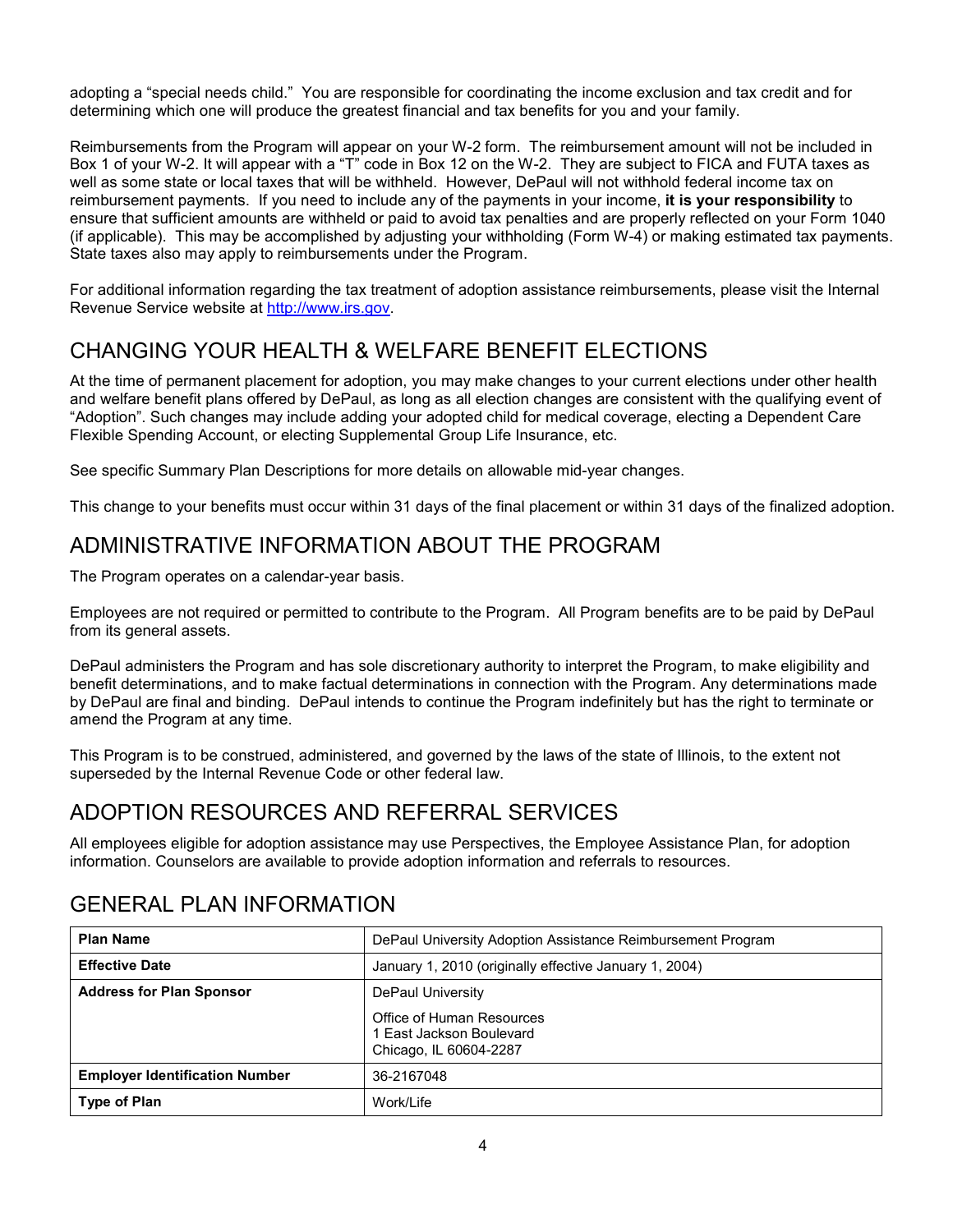adopting a "special needs child." You are responsible for coordinating the income exclusion and tax credit and for determining which one will produce the greatest financial and tax benefits for you and your family.

Reimbursements from the Program will appear on your W-2 form. The reimbursement amount will not be included in Box 1 of your W-2. It will appear with a "T" code in Box 12 on the W-2. They are subject to FICA and FUTA taxes as well as some state or local taxes that will be withheld. However, DePaul will not withhold federal income tax on reimbursement payments. If you need to include any of the payments in your income, **it is your responsibility** to ensure that sufficient amounts are withheld or paid to avoid tax penalties and are properly reflected on your Form 1040 (if applicable). This may be accomplished by adjusting your withholding (Form W-4) or making estimated tax payments. State taxes also may apply to reimbursements under the Program.

For additional information regarding the tax treatment of adoption assistance reimbursements, please visit the Internal Revenue Service website at http://www.irs.gov.

## CHANGING YOUR HEALTH & WELFARE BENEFIT ELECTIONS

At the time of permanent placement for adoption, you may make changes to your current elections under other health and welfare benefit plans offered by DePaul, as long as all election changes are consistent with the qualifying event of "Adoption". Such changes may include adding your adopted child for medical coverage, electing a Dependent Care Flexible Spending Account, or electing Supplemental Group Life Insurance, etc.

See specific Summary Plan Descriptions for more details on allowable mid-year changes.

This change to your benefits must occur within 31 days of the final placement or within 31 days of the finalized adoption.

## ADMINISTRATIVE INFORMATION ABOUT THE PROGRAM

The Program operates on a calendar-year basis.

Employees are not required or permitted to contribute to the Program. All Program benefits are to be paid by DePaul from its general assets.

DePaul administers the Program and has sole discretionary authority to interpret the Program, to make eligibility and benefit determinations, and to make factual determinations in connection with the Program. Any determinations made by DePaul are final and binding. DePaul intends to continue the Program indefinitely but has the right to terminate or amend the Program at any time.

This Program is to be construed, administered, and governed by the laws of the state of Illinois, to the extent not superseded by the Internal Revenue Code or other federal law.

## ADOPTION RESOURCES AND REFERRAL SERVICES

All employees eligible for adoption assistance may use Perspectives, the Employee Assistance Plan, for adoption information. Counselors are available to provide adoption information and referrals to resources.

## GENERAL PLAN INFORMATION

| <b>Plan Name</b>                      | DePaul University Adoption Assistance Reimbursement Program                     |
|---------------------------------------|---------------------------------------------------------------------------------|
| <b>Effective Date</b>                 | January 1, 2010 (originally effective January 1, 2004)                          |
| <b>Address for Plan Sponsor</b>       | DePaul University                                                               |
|                                       | Office of Human Resources<br>1 East Jackson Boulevard<br>Chicago, IL 60604-2287 |
| <b>Employer Identification Number</b> | 36-2167048                                                                      |
| <b>Type of Plan</b>                   | Work/Life                                                                       |